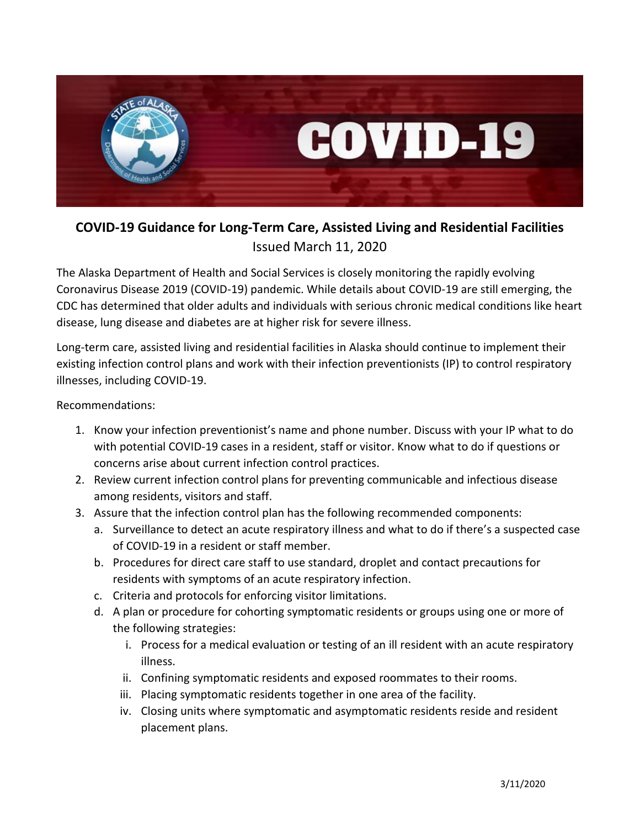

## **COVID-19 Guidance for Long-Term Care, Assisted Living and Residential Facilities** Issued March 11, 2020

The Alaska Department of Health and Social Services is closely monitoring the rapidly evolving Coronavirus Disease 2019 (COVID-19) pandemic. While details about COVID-19 are still emerging, the CDC has determined that older adults and individuals with serious chronic medical conditions like heart disease, lung disease and diabetes are at higher risk for severe illness.

Long-term care, assisted living and residential facilities in Alaska should continue to implement their existing infection control plans and work with their infection preventionists (IP) to control respiratory illnesses, including COVID-19.

Recommendations:

- 1. Know your infection preventionist's name and phone number. Discuss with your IP what to do with potential COVID-19 cases in a resident, staff or visitor. Know what to do if questions or concerns arise about current infection control practices.
- 2. Review current infection control plans for preventing communicable and infectious disease among residents, visitors and staff.
- 3. Assure that the infection control plan has the following recommended components:
	- a. Surveillance to detect an acute respiratory illness and what to do if there's a suspected case of COVID-19 in a resident or staff member.
	- b. Procedures for direct care staff to use standard, droplet and contact precautions for residents with symptoms of an acute respiratory infection.
	- c. Criteria and protocols for enforcing visitor limitations.
	- d. A plan or procedure for cohorting symptomatic residents or groups using one or more of the following strategies:
		- i. Process for a medical evaluation or testing of an ill resident with an acute respiratory illness.
		- ii. Confining symptomatic residents and exposed roommates to their rooms.
		- iii. Placing symptomatic residents together in one area of the facility.
		- iv. Closing units where symptomatic and asymptomatic residents reside and resident placement plans.